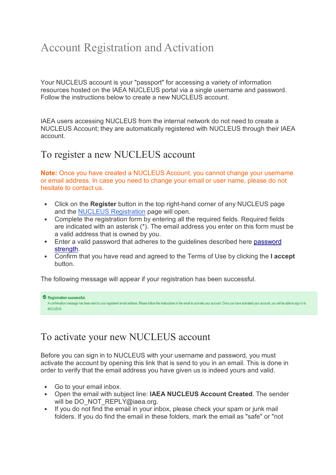## Account Registration and Activation

Your NUCLEUS account is your "passport" for accessing a variety of information resources hosted on the IAEA NUCLEUS portal via a single username and password. Follow the instructions below to create a new NUCLEUS account.

IAEA users accessing NUCLEUS from the internal network do not need to create a NUCLEUS Account; they are automatically registered with NUCLEUS through their IAEA account.

## To register a new NUCLEUS account

**Note:** Once you have created a NUCLEUS Account, you cannot change your username or email address. In case you need to change your email or user name, please do not hesitate to contact us.

- Click on the **Register** button in the top right-hand corner of any NUCLEUS page and the NUCLEUS Registration page will open.
- Complete the registration form by entering all the required fields. Required fields are indicated with an asterisk (\*). The email address you enter on this form must be a valid address that is owned by you.
- Enter a valid password that adheres to the guidelines described here password strength.
- Confirm that you have read and agreed to the Terms of Use by clicking the **I accept** button.

The following message will appear if your registration has been successful.

```
Registration successful.
A confirmation message has been sent to your registered email address. Please follow the instructions in the email to activate your account. Once you have activated your account, you will be able to sign in to
NUCLEUS
```
## To activate your new NUCLEUS account

Before you can sign in to NUCLEUS with your username and password, you must activate the account by opening this link that is send to you in an email. This is done in order to verify that the email address you have given us is indeed yours and valid.

- Go to your email inbox.
- Open the email with subject line: **IAEA NUCLEUS Account Created**. The sender will be DO\_NOT\_REPLY@iaea.org.
- If you do not find the email in your inbox, please check your spam or junk mail folders. If you do find the email in these folders, mark the email as "safe" or "not